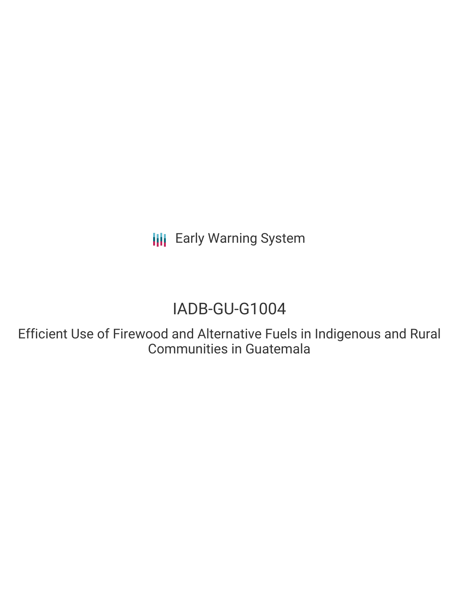**III** Early Warning System

# IADB-GU-G1004

Efficient Use of Firewood and Alternative Fuels in Indigenous and Rural Communities in Guatemala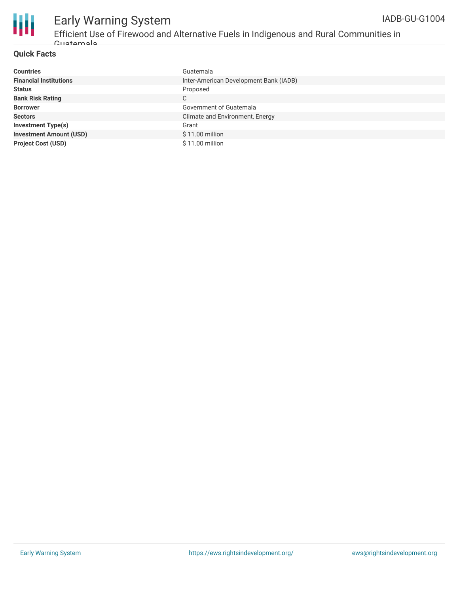

### Early Warning System

Efficient Use of Firewood and Alternative Fuels in Indigenous and Rural Communities in Guatemala

#### **Quick Facts**

| <b>Countries</b>               | Guatemala                              |
|--------------------------------|----------------------------------------|
| <b>Financial Institutions</b>  | Inter-American Development Bank (IADB) |
| <b>Status</b>                  | Proposed                               |
| <b>Bank Risk Rating</b>        | C                                      |
| <b>Borrower</b>                | Government of Guatemala                |
| <b>Sectors</b>                 | Climate and Environment, Energy        |
| <b>Investment Type(s)</b>      | Grant                                  |
| <b>Investment Amount (USD)</b> | \$11.00 million                        |
| <b>Project Cost (USD)</b>      | \$11.00 million                        |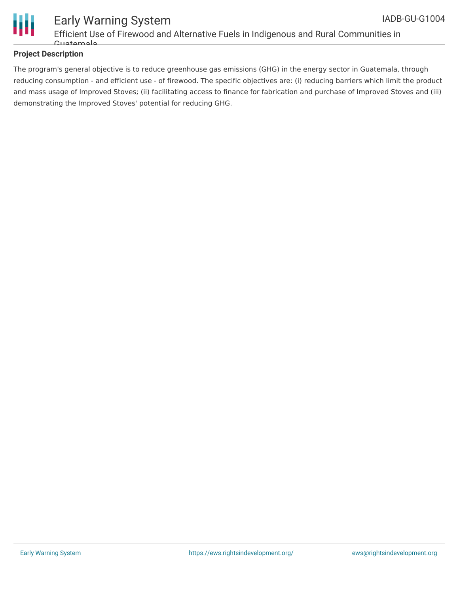

#### Early Warning System Efficient Use of Firewood and Alternative Fuels in Indigenous and Rural Communities in Guatemala

#### **Project Description**

The program's general objective is to reduce greenhouse gas emissions (GHG) in the energy sector in Guatemala, through reducing consumption - and efficient use - of firewood. The specific objectives are: (i) reducing barriers which limit the product and mass usage of Improved Stoves; (ii) facilitating access to finance for fabrication and purchase of Improved Stoves and (iii) demonstrating the Improved Stoves' potential for reducing GHG.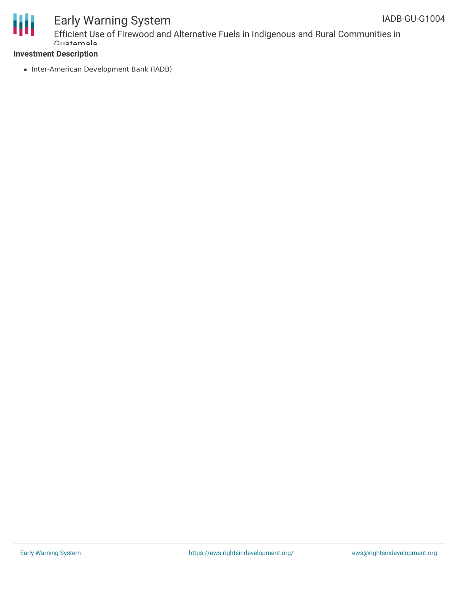



### Early Warning System Efficient Use of Firewood and Alternative Fuels in Indigenous and Rural Communities in

#### **Investment Description**

Guatemala

• Inter-American Development Bank (IADB)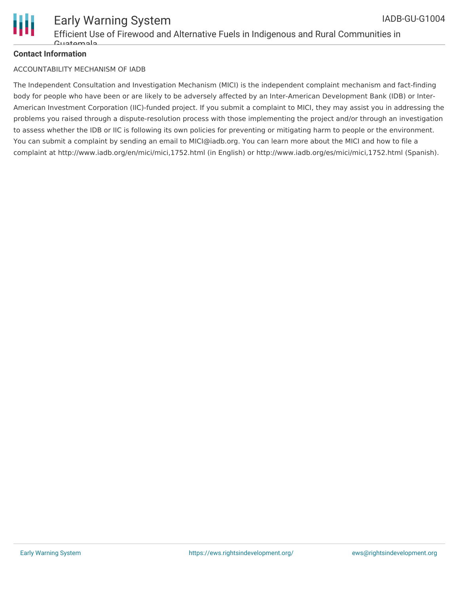

#### **Contact Information**

#### ACCOUNTABILITY MECHANISM OF IADB

The Independent Consultation and Investigation Mechanism (MICI) is the independent complaint mechanism and fact-finding body for people who have been or are likely to be adversely affected by an Inter-American Development Bank (IDB) or Inter-American Investment Corporation (IIC)-funded project. If you submit a complaint to MICI, they may assist you in addressing the problems you raised through a dispute-resolution process with those implementing the project and/or through an investigation to assess whether the IDB or IIC is following its own policies for preventing or mitigating harm to people or the environment. You can submit a complaint by sending an email to MICI@iadb.org. You can learn more about the MICI and how to file a complaint at http://www.iadb.org/en/mici/mici,1752.html (in English) or http://www.iadb.org/es/mici/mici,1752.html (Spanish).